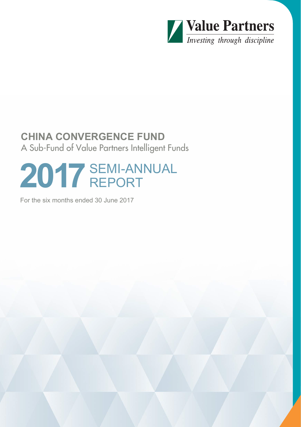

# **CHINA CONVERGENCE FUND** A Sub-Fund of Value Partners Intelligent Funds

# **2017** SEMI-ANNUAL REPORT

For the six months ended 30 June 2017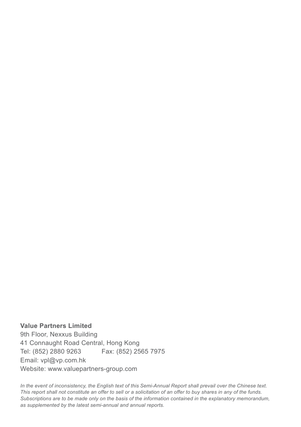**Value Partners Limited** 9th Floor, Nexxus Building 41 Connaught Road Central, Hong Kong Tel: (852) 2880 9263 Fax: (852) 2565 7975 Email: vpl@vp.com.hk Website: www.valuepartners-group.com

*In the event of inconsistency, the English text of this Semi-Annual Report shall prevail over the Chinese text. This report shall not constitute an offer to sell or a solicitation of an offer to buy shares in any of the funds. Subscriptions are to be made only on the basis of the information contained in the explanatory memorandum, as supplemented by the latest semi-annual and annual reports.*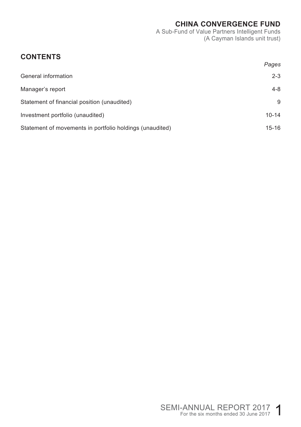A Sub-Fund of Value Partners Intelligent Funds (A Cayman Islands unit trust)

# **CONTENTS**

|                                                          | Pages     |
|----------------------------------------------------------|-----------|
| General information                                      | $2 - 3$   |
| Manager's report                                         | $4 - 8$   |
| Statement of financial position (unaudited)              | 9         |
| Investment portfolio (unaudited)                         | $10 - 14$ |
| Statement of movements in portfolio holdings (unaudited) | $15-16$   |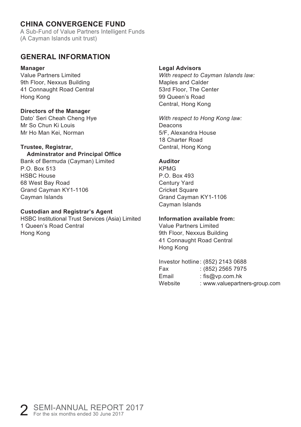A Sub-Fund of Value Partners Intelligent Funds (A Cayman Islands unit trust)

#### **GENERAL INFORMATION**

#### **Manager**

Value Partners Limited 9th Floor, Nexxus Building 41 Connaught Road Central Hong Kong

#### **Directors of the Manager**

Dato' Seri Cheah Cheng Hye Mr So Chun Ki Louis Mr Ho Man Kei, Norman

#### **Trustee, Registrar,**

#### **Adminstrator and Principal Office**

Bank of Bermuda (Cayman) Limited P.O. Box 513 HSBC House 68 West Bay Road Grand Cayman KY1-1106 Cayman Islands

#### **Custodian and Registrar's Agent**

HSBC Institutional Trust Services (Asia) Limited 1 Queen's Road Central Hong Kong

#### **Legal Advisors**

*With respect to Cayman Islands law:* Maples and Calder 53rd Floor, The Center 99 Queen's Road Central, Hong Kong

*With respect to Hong Kong law:* Deacons 5/F, Alexandra House 18 Charter Road Central, Hong Kong

#### **Auditor**

KPMG P.O. Box 493 Century Yard Cricket Square Grand Cayman KY1-1106 Cayman Islands

#### **Information available from:**

Value Partners Limited 9th Floor, Nexxus Building 41 Connaught Road Central Hong Kong

|         | Investor hotline: (852) 2143 0688 |
|---------|-----------------------------------|
| Fax     | $(852)$ 2565 7975                 |
| Email   | : $f$ is@vp.com.hk                |
| Website | : www.valuepartners-group.com     |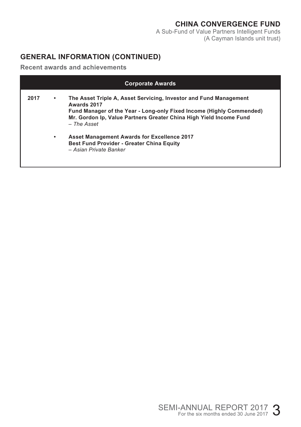A Sub-Fund of Value Partners Intelligent Funds (A Cayman Islands unit trust)

## **GENERAL INFORMATION (CONTINUED)**

**Recent awards and achievements**

| <b>Corporate Awards</b> |   |                                                                                                                                                                                                                                               |  |
|-------------------------|---|-----------------------------------------------------------------------------------------------------------------------------------------------------------------------------------------------------------------------------------------------|--|
| 2017                    | ٠ | The Asset Triple A, Asset Servicing, Investor and Fund Management<br>Awards 2017<br>Fund Manager of the Year - Long-only Fixed Income (Highly Commended)<br>Mr. Gordon Ip, Value Partners Greater China High Yield Income Fund<br>– The Asset |  |
|                         | ٠ | <b>Asset Management Awards for Excellence 2017</b><br><b>Best Fund Provider - Greater China Equity</b><br>- Asian Private Banker                                                                                                              |  |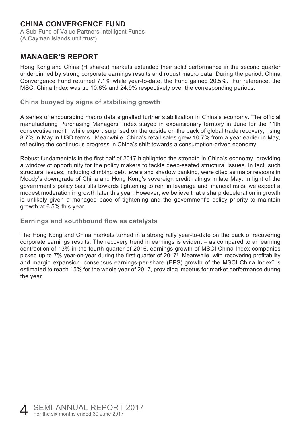A Sub-Fund of Value Partners Intelligent Funds (A Cayman Islands unit trust)

## **MANAGER'S REPORT**

Hong Kong and China (H shares) markets extended their solid performance in the second quarter underpinned by strong corporate earnings results and robust macro data. During the period, China Convergence Fund returned 7.1% while year-to-date, the Fund gained 20.5%. For reference, the MSCI China Index was up 10.6% and 24.9% respectively over the corresponding periods.

#### **China buoyed by signs of stabilising growth**

A series of encouraging macro data signalled further stabilization in China's economy. The official manufacturing Purchasing Managers' Index stayed in expansionary territory in June for the 11th consecutive month while export surprised on the upside on the back of global trade recovery, rising 8.7% in May in USD terms. Meanwhile, China's retail sales grew 10.7% from a year earlier in May, reflecting the continuous progress in China's shift towards a consumption-driven economy.

Robust fundamentals in the first half of 2017 highlighted the strength in China's economy, providing a window of opportunity for the policy makers to tackle deep-seated structural issues. In fact, such structural issues, including climbing debt levels and shadow banking, were cited as major reasons in Moody's downgrade of China and Hong Kong's sovereign credit ratings in late May. In light of the government's policy bias tilts towards tightening to rein in leverage and financial risks, we expect a modest moderation in growth later this year. However, we believe that a sharp deceleration in growth is unlikely given a managed pace of tightening and the government's policy priority to maintain growth at 6.5% this year.

#### **Earnings and southbound flow as catalysts**

The Hong Kong and China markets turned in a strong rally year-to-date on the back of recovering corporate earnings results. The recovery trend in earnings is evident – as compared to an earning contraction of 13% in the fourth quarter of 2016, earnings growth of MSCI China Index companies picked up to 7% year-on-year during the first quarter of 20171 . Meanwhile, with recovering profitability and margin expansion, consensus earnings-per-share (EPS) growth of the MSCI China Index $2$  is estimated to reach 15% for the whole year of 2017, providing impetus for market performance during the year.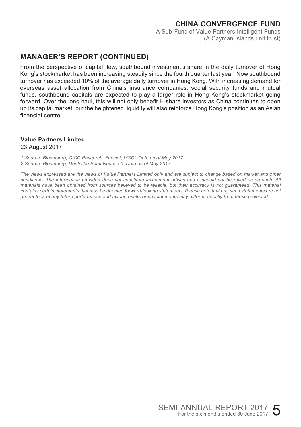A Sub-Fund of Value Partners Intelligent Funds (A Cayman Islands unit trust)

## **MANAGER'S REPORT (CONTINUED)**

From the perspective of capital flow, southbound investment's share in the daily turnover of Hong Kong's stockmarket has been increasing steadily since the fourth quarter last year. Now southbound turnover has exceeded 10% of the average daily turnover in Hong Kong. With increasing demand for overseas asset allocation from China's insurance companies, social security funds and mutual funds, southbound capitals are expected to play a larger role in Hong Kong's stockmarket going forward. Over the long haul, this will not only benefit H-share investors as China continues to open up its capital market, but the heightened liquidity will also reinforce Hong Kong's position as an Asian financial centre.

## **Value Partners Limited**

#### 23 August 2017

*1.Source: Bloomberg, CICC Research, Factset, MSCI. Data as of May 2017. 2.Source: Bloomberg, Deutsche Bank Research. Data as of May 2017.*

*The views expressed are the views of Value Partners Limited only and are subject to change based on market and other conditions. The information provided does not constitute investment advice and it should not be relied on as such. All materials have been obtained from sources believed to be reliable, but their accuracy is not guaranteed. This material contains certain statements that may be deemed forward-looking statements. Please note that any such statements are not guarantees of any future performance and actual results or developments may differ materially from those projected.*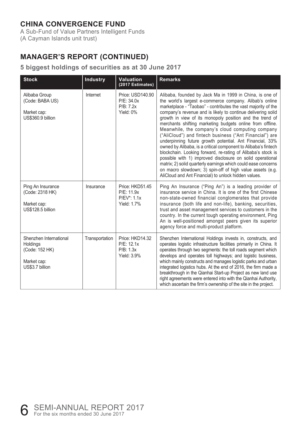A Sub-Fund of Value Partners Intelligent Funds (A Cayman Islands unit trust)

# **MANAGER'S REPORT (CONTINUED)**

#### **5 biggest holdings of securities as at 30 June 2017**

| <b>Stock</b>                                                                           | <b>Industry</b> | <b>Valuation</b><br>(2017 Estimates)                             | <b>Remarks</b>                                                                                                                                                                                                                                                                                                                                                                                                                                                                                                                                                                                                                                                                                                                                                                                                                                                                                                                               |
|----------------------------------------------------------------------------------------|-----------------|------------------------------------------------------------------|----------------------------------------------------------------------------------------------------------------------------------------------------------------------------------------------------------------------------------------------------------------------------------------------------------------------------------------------------------------------------------------------------------------------------------------------------------------------------------------------------------------------------------------------------------------------------------------------------------------------------------------------------------------------------------------------------------------------------------------------------------------------------------------------------------------------------------------------------------------------------------------------------------------------------------------------|
| Alibaba Group<br>(Code: BABA US)<br>Market cap:<br>US\$360.9 billion                   | Internet        | Price: USD140.90<br>P/E: 34.0x<br>P/B: 7.2x<br>Yield: 0%         | Alibaba, founded by Jack Ma in 1999 in China, is one of<br>the world's largest e-commerce company. Alibab's online<br>marketplace - "Taobao" - contributes the vast majority of the<br>company's revenue and is likely to continue delivering solid<br>growth in view of its monopoly position and the trend of<br>merchants shifting marketing budgets online from offline.<br>Meanwhile, the company's cloud computing company<br>("AliCloud") and fintech business ("Ant Financial") are<br>underpinning future growth potential. Ant Financial, 33%<br>owned by Alibaba, is a critical component to Alibaba's fintech<br>blockchain. Looking forward, re-rating of Alibaba's stock is<br>possible with 1) improved disclosure on solid operational<br>matrix; 2) solid quarterly earnings which could ease concerns<br>on macro slowdown; 3) spin-off of high value assets (e.g.<br>AliCloud and Ant Financial) to unlock hidden values. |
| Ping An Insurance<br>(Code: 2318 HK)<br>Market cap:<br>US\$128.5 billion               | Insurance       | Price: HKD51.45<br>P/E: 11.9x<br>P/EV*: 1.1x<br>Yield: 1.7%      | Ping An Insurance ("Ping An") is a leading provider of<br>insurance service in China. It is one of the first Chinese<br>non-state-owned financial conglomerates that provide<br>insurance (both life and non-life), banking, securities,<br>trust and asset management services to customers in the<br>country. In the current tough operating environment, Ping<br>An is well-positioned amongst peers given its superior<br>agency force and multi-product platform.                                                                                                                                                                                                                                                                                                                                                                                                                                                                       |
| Shenzhen International<br>Holdings<br>(Code: 152 HK)<br>Market cap:<br>US\$3.7 billion | Transportation  | Price: HKD14.32<br>P/E: 12.1x<br>P/B: 1.3x<br><b>Yield: 3.9%</b> | Shenzhen International Holdings invests in, constructs, and<br>operates logistic infrastructure facilities primarily in China. It<br>operates through two segments: the toll roads segment which<br>develops and operates toll highways; and logistic business,<br>which mainly constructs and manages logistic parks and urban<br>integrated logistics hubs. At the end of 2016, the firm made a<br>breakthrough in the Qianhai Start-up Project as new land use<br>right agreements were entered into with the Qianhai Authority,<br>which ascertain the firm's ownership of the site in the project.                                                                                                                                                                                                                                                                                                                                      |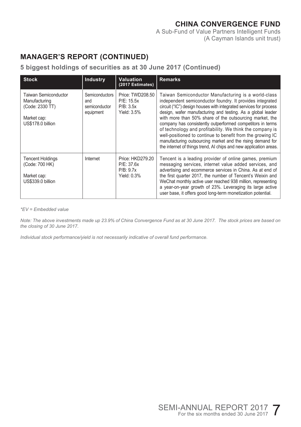A Sub-Fund of Value Partners Intelligent Funds (A Cayman Islands unit trust)

# **MANAGER'S REPORT (CONTINUED)**

#### **5 biggest holdings of securities as at 30 June 2017 (Continued)**

| <b>Stock</b>                                                                                 | <b>Industry</b>                                            | <b>Valuation</b><br>(2017 Estimates)                          | <b>Remarks</b>                                                                                                                                                                                                                                                                                                                                                                                                                                                                                                                                                                                                                             |
|----------------------------------------------------------------------------------------------|------------------------------------------------------------|---------------------------------------------------------------|--------------------------------------------------------------------------------------------------------------------------------------------------------------------------------------------------------------------------------------------------------------------------------------------------------------------------------------------------------------------------------------------------------------------------------------------------------------------------------------------------------------------------------------------------------------------------------------------------------------------------------------------|
| Taiwan Semiconductor<br>Manufacturing<br>(Code: 2330 TT)<br>Market cap:<br>US\$178.0 billion | <b>Semiconductors</b><br>and<br>semiconductor<br>equipment | Price: TWD208.50<br>P/E: 15.5x<br>P/B: 3.5x<br>Yield: 3.5%    | Taiwan Semiconductor Manufacturing is a world-class<br>independent semiconductor foundry. It provides integrated<br>circuit ("IC") design houses with integrated services for process<br>design, wafer manufacturing and testing. As a global leader<br>with more than 50% share of the outsourcing market, the<br>company has consistently outperformed competitors in terms<br>of technology and profitability. We think the company is<br>well-positioned to continue to benefit from the growing IC<br>manufacturing outsourcing market and the rising demand for<br>the internet of things trend, AI chips and new application areas. |
| <b>Tencent Holdings</b><br>(Code: 700 HK)<br>Market cap:<br>US\$339.0 billion                | Internet                                                   | Price: HKD279.20<br>P/E: 37.6x<br>P/B: 9.7x<br>Yield: $0.3\%$ | Tencent is a leading provider of online games, premium<br>messaging services, internet value added services, and<br>advertising and ecommerce services in China. As at end of<br>the first quarter 2017, the number of Tencent's Weixin and<br>WeChat monthly active user reached 938 million, representing<br>a year-on-year growth of 23%. Leveraging its large active<br>user base, it offers good long-term monetization potential.                                                                                                                                                                                                    |

*\*EV = Embedded value*

*Note: The above investments made up 23.9% of China Convergence Fund as at 30 June 2017. The stock prices are based on the closing of 30 June 2017.*

*Individual stock performance/yield is not necessarily indicative of overall fund performance.*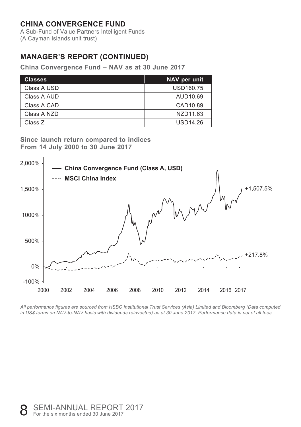A Sub-Fund of Value Partners Intelligent Funds (A Cayman Islands unit trust)

# **MANAGER'S REPORT (CONTINUED)**

**China Convergence Fund – NAV as at 30 June 2017**

| <b>Classes</b> | NAV per unit    |
|----------------|-----------------|
| Class A USD    | USD160.75       |
| Class A AUD    | AUD10.69        |
| Class A CAD    | CAD10.89        |
| Class A NZD    | NZD11.63        |
| Class Z        | <b>USD14.26</b> |

**Since launch return compared to indices From 14 July 2000 to 30 June 2017**



*All performance figures are sourced from HSBC Institutional Trust Services (Asia) Limited and Bloomberg (Data computed in US\$ terms on NAV-to-NAV basis with dividends reinvested) as at 30 June 2017. Performance data is net of all fees.*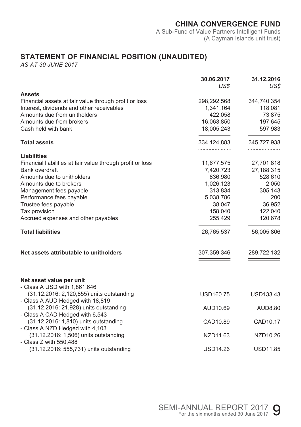A Sub-Fund of Value Partners Intelligent Funds (A Cayman Islands unit trust)

# **STATEMENT OF FINANCIAL POSITION (UNAUDITED)**

|                                                                                                               | 30.06.2017<br>US\$ | 31.12.2016<br>US\$         |
|---------------------------------------------------------------------------------------------------------------|--------------------|----------------------------|
| <b>Assets</b>                                                                                                 |                    |                            |
| Financial assets at fair value through profit or loss                                                         | 298,292,568        | 344,740,354                |
| Interest, dividends and other receivables                                                                     | 1,341,164          | 118,081                    |
| Amounts due from unitholders                                                                                  | 422.058            | 73,875                     |
| Amounts due from brokers                                                                                      | 16,063,850         | 197,645                    |
| Cash held with bank                                                                                           | 18,005,243         | 597,983                    |
| <b>Total assets</b>                                                                                           | 334,124,883<br>.   | 345,727,938<br>.           |
| <b>Liabilities</b>                                                                                            |                    |                            |
| Financial liabilities at fair value through profit or loss                                                    | 11,677,575         | 27,701,818                 |
| Bank overdraft                                                                                                | 7,420,723          | 27,188,315                 |
| Amounts due to unitholders                                                                                    | 836,980            | 528,610                    |
| Amounts due to brokers                                                                                        | 1,026,123          | 2,050                      |
| Management fees payable                                                                                       | 313,834            | 305,143                    |
| Performance fees payable                                                                                      | 5,038,786          | 200                        |
| Trustee fees payable                                                                                          | 38,047             | 36,952                     |
| Tax provision                                                                                                 | 158,040            | 122,040                    |
| Accrued expenses and other payables                                                                           | 255,429            | 120,678                    |
| <b>Total liabilities</b>                                                                                      | 26,765,537<br>.    | 56,005,806<br>. <b>.</b> . |
| Net assets attributable to unitholders                                                                        | 307,359,346        | 289,722,132                |
| Net asset value per unit<br>- Class A USD with 1,861,646                                                      |                    |                            |
| (31.12.2016: 2,120,855) units outstanding                                                                     | USD160.75          | <b>USD133.43</b>           |
| - Class A AUD Hedged with 18,819<br>(31.12.2016: 21,928) units outstanding<br>- Class A CAD Hedged with 6,543 | AUD10.69           | AUD8.80                    |
| (31.12.2016: 1,810) units outstanding<br>- Class A NZD Hedged with 4,103                                      | CAD10.89           | CAD10.17                   |
| (31.12.2016: 1,506) units outstanding<br>- Class Z with 550,488                                               | NZD11.63           | NZD10.26                   |
| (31.12.2016: 555,731) units outstanding                                                                       | USD14.26           | <b>USD11.85</b>            |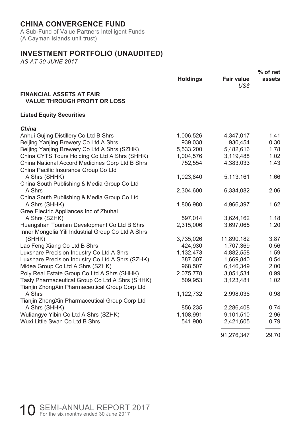A Sub-Fund of Value Partners Intelligent Funds (A Cayman Islands unit trust)

## **INVESTMENT PORTFOLIO (UNAUDITED)**

|                                                                                         |                 |                           | $%$ of net |
|-----------------------------------------------------------------------------------------|-----------------|---------------------------|------------|
|                                                                                         | <b>Holdings</b> | <b>Fair value</b><br>US\$ | assets     |
| <b>FINANCIAL ASSETS AT FAIR</b><br><b>VALUE THROUGH PROFIT OR LOSS</b>                  |                 |                           |            |
| <b>Listed Equity Securities</b>                                                         |                 |                           |            |
| China                                                                                   |                 |                           |            |
| Anhui Gujing Distillery Co Ltd B Shrs                                                   | 1,006,526       | 4,347,017                 | 1.41       |
| Beijing Yanjing Brewery Co Ltd A Shrs                                                   | 939,038         | 930,454                   | 0.30       |
| Beijing Yanjing Brewery Co Ltd A Shrs (SZHK)                                            | 5,533,200       | 5,482,616                 | 1.78       |
| China CYTS Tours Holding Co Ltd A Shrs (SHHK)                                           | 1,004,576       | 3,119,488                 | 1.02       |
| China National Accord Medicines Corp Ltd B Shrs<br>China Pacific Insurance Group Co Ltd | 752,554         | 4,383,033                 | 1.43       |
| A Shrs (SHHK)                                                                           | 1,023,840       | 5,113,161                 | 1.66       |
| China South Publishing & Media Group Co Ltd                                             |                 |                           |            |
| A Shrs                                                                                  | 2,304,600       | 6,334,082                 | 2.06       |
| China South Publishing & Media Group Co Ltd                                             |                 |                           |            |
| A Shrs (SHHK)                                                                           | 1,806,980       | 4,966,397                 | 1.62       |
| Gree Electric Appliances Inc of Zhuhai                                                  |                 |                           |            |
| A Shrs (SZHK)                                                                           | 597,014         | 3,624,162                 | 1.18       |
| Huangshan Tourism Development Co Ltd B Shrs                                             | 2,315,006       | 3,697,065                 | 1.20       |
| Inner Mongolia Yili Industrial Group Co Ltd A Shrs                                      |                 |                           |            |
| (SHHK)                                                                                  | 3,735,026       | 11,890,182                | 3.87       |
| Lao Feng Xiang Co Ltd B Shrs                                                            | 424,930         | 1,707,369                 | 0.56       |
| Luxshare Precision Industry Co Ltd A Shrs                                               | 1,132,473       | 4,882,558                 | 1.59       |
| Luxshare Precision Industry Co Ltd A Shrs (SZHK)                                        | 387,307         | 1,669,840                 | 0.54       |
| Midea Group Co Ltd A Shrs (SZHK)                                                        | 968,507         | 6,146,349                 | 2.00       |
| Poly Real Estate Group Co Ltd A Shrs (SHHK)                                             | 2,075,778       | 3,051,534                 | 0.99       |
| Tasly Pharmaceutical Group Co Ltd A Shrs (SHHK)                                         | 509,953         | 3,123,481                 | 1.02       |
| Tianjin ZhongXin Pharmaceutical Group Corp Ltd<br>A Shrs                                |                 |                           |            |
| Tianjin ZhongXin Pharmaceutical Group Corp Ltd                                          | 1,122,732       | 2,998,036                 | 0.98       |
| A Shrs (SHHK)                                                                           | 856,235         | 2,286,408                 | 0.74       |
| Wuliangye Yibin Co Ltd A Shrs (SZHK)                                                    | 1,108,991       | 9,101,510                 | 2.96       |
| Wuxi Little Swan Co Ltd B Shrs                                                          | 541,900         | 2,421,605                 | 0.79       |
|                                                                                         |                 |                           | 29.70      |
|                                                                                         |                 | 91,276,347                |            |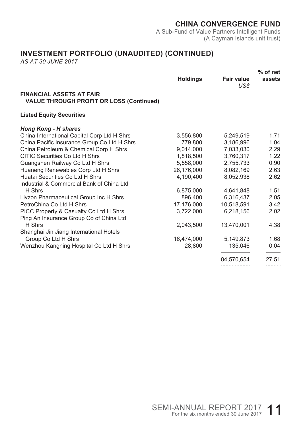A Sub-Fund of Value Partners Intelligent Funds (A Cayman Islands unit trust)

# **INVESTMENT PORTFOLIO (UNAUDITED) (CONTINUED)**

|                                                                                    |                 |                           | % of net |
|------------------------------------------------------------------------------------|-----------------|---------------------------|----------|
|                                                                                    | <b>Holdings</b> | <b>Fair value</b><br>US\$ | assets   |
| <b>FINANCIAL ASSETS AT FAIR</b><br><b>VALUE THROUGH PROFIT OR LOSS (Continued)</b> |                 |                           |          |
| <b>Listed Equity Securities</b>                                                    |                 |                           |          |
| <b>Hong Kong - H shares</b>                                                        |                 |                           |          |
| China International Capital Corp Ltd H Shrs                                        | 3,556,800       | 5,249,519                 | 1.71     |
| China Pacific Insurance Group Co Ltd H Shrs                                        | 779,800         | 3,186,996                 | 1.04     |
| China Petroleum & Chemical Corp H Shrs                                             | 9,014,000       | 7.033.030                 | 2.29     |
| CITIC Securities Co Ltd H Shrs                                                     | 1,818,500       | 3.760.317                 | 1.22     |
| Guangshen Railway Co Ltd H Shrs                                                    | 5,558,000       | 2,755,733                 | 0.90     |
| Huaneng Renewables Corp Ltd H Shrs                                                 | 26,176,000      | 8.082.169                 | 2.63     |
| Huatai Securities Co Ltd H Shrs                                                    | 4.190.400       | 8.052.938                 | 2.62     |
| Industrial & Commercial Bank of China Ltd                                          |                 |                           |          |
| H Shrs                                                                             | 6,875,000       | 4,641,848                 | 1.51     |
| Livzon Pharmaceutical Group Inc H Shrs                                             | 896,400         | 6,316,437                 | 2.05     |
| PetroChina Co Ltd H Shrs                                                           | 17,176,000      | 10,518,591                | 3.42     |
| PICC Property & Casualty Co Ltd H Shrs                                             | 3,722,000       | 6,218,156                 | 2.02     |
| Ping An Insurance Group Co of China Ltd                                            |                 |                           |          |
| H Shrs                                                                             | 2.043.500       | 13,470,001                | 4.38     |
| Shanghai Jin Jiang International Hotels                                            |                 |                           |          |
| Group Co Ltd H Shrs                                                                | 16,474,000      | 5,149,873                 | 1.68     |
| Wenzhou Kangning Hospital Co Ltd H Shrs                                            | 28,800          | 135,046                   | 0.04     |
|                                                                                    |                 | 84,570,654                | 27.51    |
|                                                                                    |                 |                           | .        |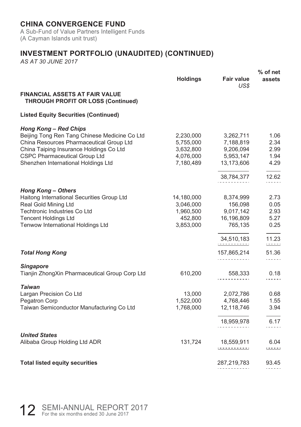A Sub-Fund of Value Partners Intelligent Funds (A Cayman Islands unit trust)

# **INVESTMENT PORTFOLIO (UNAUDITED) (CONTINUED)**

|                                                                                    |                 |                           | $%$ of net               |
|------------------------------------------------------------------------------------|-----------------|---------------------------|--------------------------|
|                                                                                    | <b>Holdings</b> | <b>Fair value</b><br>US\$ | assets                   |
| <b>FINANCIAL ASSETS AT FAIR VALUE</b><br><b>THROUGH PROFIT OR LOSS (Continued)</b> |                 |                           |                          |
| <b>Listed Equity Securities (Continued)</b>                                        |                 |                           |                          |
| <b>Hong Kong - Red Chips</b>                                                       |                 |                           |                          |
| Beijing Tong Ren Tang Chinese Medicine Co Ltd                                      | 2,230,000       | 3,262,711                 | 1.06                     |
| China Resources Pharmaceutical Group Ltd                                           | 5,755,000       | 7,188,819                 | 2.34                     |
| China Taiping Insurance Holdings Co Ltd                                            | 3,632,800       | 9,206,094                 | 2.99                     |
| <b>CSPC Pharmaceutical Group Ltd</b>                                               | 4,076,000       | 5,953,147                 | 1.94                     |
| Shenzhen International Holdings Ltd                                                | 7,180,489       | 13,173,606                | 4.29                     |
|                                                                                    |                 | 38,784,377                | 12.62                    |
|                                                                                    |                 |                           | .                        |
| <b>Hong Kong - Others</b><br>Haitong International Securities Group Ltd            | 14,180,000      | 8,374,999                 | 2.73                     |
| Real Gold Mining Ltd                                                               | 3,046,000       | 156,098                   | 0.05                     |
| <b>Techtronic Industries Co Ltd</b>                                                | 1,960,500       | 9,017,142                 | 2.93                     |
| <b>Tencent Holdings Ltd</b>                                                        | 452,800         | 16,196,809                | 5.27                     |
| Tenwow International Holdings Ltd                                                  | 3,853,000       | 765,135                   | 0.25                     |
|                                                                                    |                 |                           |                          |
|                                                                                    |                 | 34,510,183<br><u>.</u>    | 11.23<br>$1 + 1 + 1 + 1$ |
| <b>Total Hong Kong</b>                                                             |                 | 157,865,214               | 51.36                    |
|                                                                                    |                 | . <u>.</u>                | .                        |
| <b>Singapore</b>                                                                   |                 |                           |                          |
| Tianjin ZhongXin Pharmaceutical Group Corp Ltd                                     | 610,200         | 558,333                   | 0.18                     |
| <b>Taiwan</b>                                                                      |                 |                           |                          |
| Largan Precision Co Ltd                                                            | 13,000          | 2,072,786                 | 0.68                     |
| Pegatron Corp                                                                      | 1,522,000       | 4,768,446                 | 1.55                     |
| Taiwan Semiconductor Manufacturing Co Ltd                                          | 1,768,000       | 12,118,746                | 3.94                     |
|                                                                                    |                 |                           |                          |
|                                                                                    |                 | 18,959,978                | 6.17                     |
| <b>United States</b>                                                               |                 |                           |                          |
| Alibaba Group Holding Ltd ADR                                                      | 131,724         | 18,559,911<br><u>.</u>    | 6.04<br>$1 + 1 + 1$      |
|                                                                                    |                 |                           |                          |
| <b>Total listed equity securities</b>                                              |                 | 287,219,783               | 93.45                    |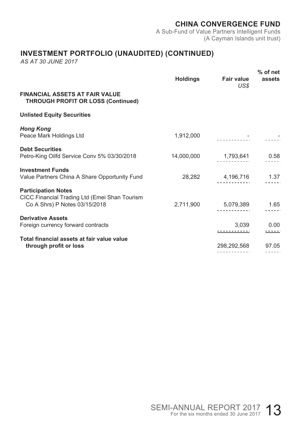A Sub-Fund of Value Partners Intelligent Funds (A Cayman Islands unit trust)

# **INVESTMENT PORTFOLIO (UNAUDITED) (CONTINUED)**

|                                                                                                              | Holdings  | <b>Fair value</b><br>US\$       | $%$ of net<br>assets   |
|--------------------------------------------------------------------------------------------------------------|-----------|---------------------------------|------------------------|
| <b>FINANCIAL ASSETS AT FAIR VALUE</b><br><b>THROUGH PROFIT OR LOSS (Continued)</b>                           |           |                                 |                        |
| <b>Unlisted Equity Securities</b>                                                                            |           |                                 |                        |
| <b>Hong Kong</b><br>Peace Mark Holdings Ltd                                                                  | 1,912,000 |                                 |                        |
| <b>Debt Securities</b><br>Petro-King Oilfd Service Conv 5% 03/30/2018                                        |           | $14,000,000$ $1,793,641$ $0.58$ |                        |
| <b>Investment Funds</b><br>Value Partners China A Share Opportunity Fund                                     |           | 28,282 4,196,716 1.37           |                        |
| <b>Participation Notes</b><br>CICC Financial Trading Ltd (Emei Shan Tourism<br>Co A Shrs) P Notes 03/15/2018 |           | 2,711,900 5,079,389 1.65        |                        |
| <b>Derivative Assets</b><br>Foreign currency forward contracts                                               |           | 3,039                           | 0.00<br><u> ---- -</u> |
| Total financial assets at fair value value<br>through profit or loss                                         |           | 298,292,568                     | 97.05                  |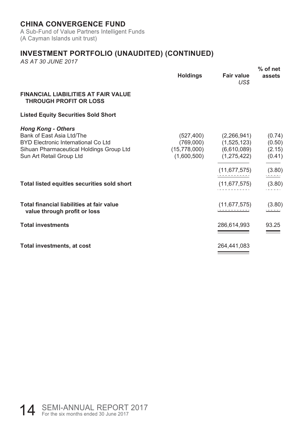A Sub-Fund of Value Partners Intelligent Funds (A Cayman Islands unit trust)

# **INVESTMENT PORTFOLIO (UNAUDITED) (CONTINUED)**

|                                                                                                                                                                                                                      | Holdings | <b>Fair value</b><br>US\$                                                                                                                                                      | $%$ of net<br>assets                 |
|----------------------------------------------------------------------------------------------------------------------------------------------------------------------------------------------------------------------|----------|--------------------------------------------------------------------------------------------------------------------------------------------------------------------------------|--------------------------------------|
| <b>FINANCIAL LIABILITIES AT FAIR VALUE</b><br><b>THROUGH PROFIT OR LOSS</b>                                                                                                                                          |          |                                                                                                                                                                                |                                      |
| <b>Listed Equity Securities Sold Short</b>                                                                                                                                                                           |          |                                                                                                                                                                                |                                      |
| <b>Hong Kong - Others</b><br>Bank of East Asia Ltd/The<br>BYD Electronic International Co Ltd<br>Sihuan Pharmaceutical Holdings Group Ltd<br>Sun Art Retail Group Ltd<br>Total listed equitles securities sold short |          | $(527, 400)$ $(2, 266, 941)$<br>$(769,000)$ $(1,525,123)$<br>$(15,778,000)$ $(6,610,089)$ $(2.15)$<br>$(1,600,500)$ $(1,275,422)$<br>(11, 677, 575)<br>$(11,677,575)$ $(3.80)$ | (0.74)<br>(0.50)<br>(0.41)<br>(3.80) |
| Total financial liabilities at fair value<br>value through profit or loss                                                                                                                                            |          | (11, 677, 575)                                                                                                                                                                 | (3.80)<br><u> 1888 - 19</u>          |
| <b>Total investments</b>                                                                                                                                                                                             |          | 286,614,993                                                                                                                                                                    | 93.25                                |
| Total investments, at cost                                                                                                                                                                                           |          | 264,441,083                                                                                                                                                                    |                                      |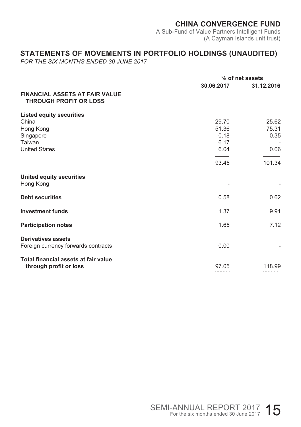A Sub-Fund of Value Partners Intelligent Funds (A Cayman Islands unit trust)

## **STATEMENTS OF MOVEMENTS IN PORTFOLIO HOLDINGS (UNAUDITED)**

*FOR THE SIX MONTHS ENDED 30 JUNE 2017*

|                                                                                                      | % of net assets                        |                                |
|------------------------------------------------------------------------------------------------------|----------------------------------------|--------------------------------|
| <b>FINANCIAL ASSETS AT FAIR VALUE</b><br><b>THROUGH PROFIT OR LOSS</b>                               | 30.06.2017                             | 31.12.2016                     |
| <b>Listed equity securities</b><br>China<br>Hong Kong<br>Singapore<br>Taiwan<br><b>United States</b> | 29.70<br>51.36<br>0.18<br>6.17<br>6.04 | 25.62<br>75.31<br>0.35<br>0.06 |
| United equity securities                                                                             | 93.45                                  | 101.34                         |
| Hong Kong<br><b>Debt securities</b>                                                                  | 0.58                                   | 0.62                           |
| <b>Investment funds</b>                                                                              | 1.37                                   | 9.91                           |
| <b>Participation notes</b><br><b>Derivatives assets</b>                                              | 1.65                                   | 7.12                           |
| Foreign currency forwards contracts<br>Total financial assets at fair value                          | 0.00                                   |                                |
| through profit or loss                                                                               | 97.05                                  | 118.99                         |